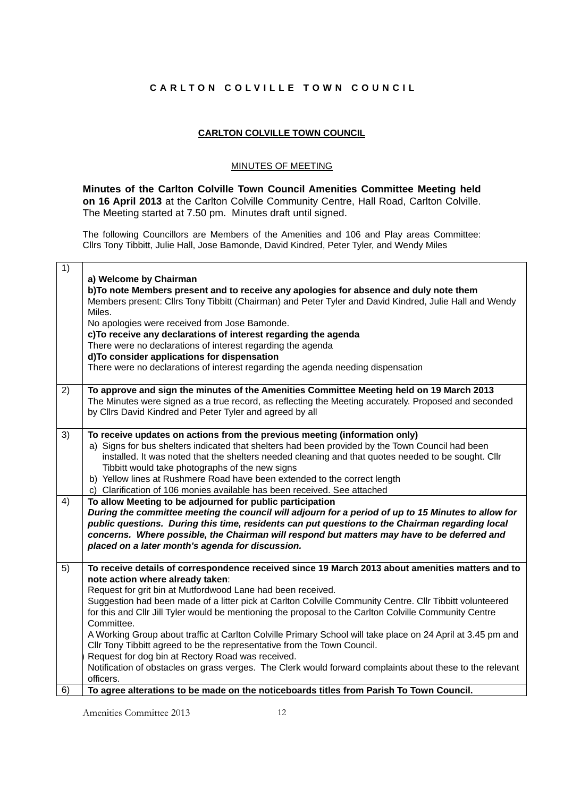## **CARLTON COLVILLE TOWN COUNCIL**

## **CARLTON COLVILLE TOWN COUNCIL**

## MINUTES OF MEETING

**Minutes of the Carlton Colville Town Council Amenities Committee Meeting held on 16 April 2013** at the Carlton Colville Community Centre, Hall Road, Carlton Colville. The Meeting started at 7.50 pm. Minutes draft until signed.

The following Councillors are Members of the Amenities and 106 and Play areas Committee: Cllrs Tony Tibbitt, Julie Hall, Jose Bamonde, David Kindred, Peter Tyler, and Wendy Miles

| 1) | a) Welcome by Chairman<br>b) To note Members present and to receive any apologies for absence and duly note them<br>Members present: Cllrs Tony Tibbitt (Chairman) and Peter Tyler and David Kindred, Julie Hall and Wendy<br>Miles.<br>No apologies were received from Jose Bamonde.<br>c)To receive any declarations of interest regarding the agenda<br>There were no declarations of interest regarding the agenda<br>d)To consider applications for dispensation<br>There were no declarations of interest regarding the agenda needing dispensation |
|----|-----------------------------------------------------------------------------------------------------------------------------------------------------------------------------------------------------------------------------------------------------------------------------------------------------------------------------------------------------------------------------------------------------------------------------------------------------------------------------------------------------------------------------------------------------------|
| 2) | To approve and sign the minutes of the Amenities Committee Meeting held on 19 March 2013<br>The Minutes were signed as a true record, as reflecting the Meeting accurately. Proposed and seconded<br>by Cllrs David Kindred and Peter Tyler and agreed by all                                                                                                                                                                                                                                                                                             |
| 3) | To receive updates on actions from the previous meeting (information only)<br>a) Signs for bus shelters indicated that shelters had been provided by the Town Council had been<br>installed. It was noted that the shelters needed cleaning and that quotes needed to be sought. Cllr<br>Tibbitt would take photographs of the new signs<br>b) Yellow lines at Rushmere Road have been extended to the correct length<br>c) Clarification of 106 monies available has been received. See attached                                                         |
| 4) | To allow Meeting to be adjourned for public participation<br>During the committee meeting the council will adjourn for a period of up to 15 Minutes to allow for<br>public questions. During this time, residents can put questions to the Chairman regarding local<br>concerns. Where possible, the Chairman will respond but matters may have to be deferred and<br>placed on a later month's agenda for discussion.                                                                                                                                    |
| 5) | To receive details of correspondence received since 19 March 2013 about amenities matters and to<br>note action where already taken:<br>Request for grit bin at Mutfordwood Lane had been received.<br>Suggestion had been made of a litter pick at Carlton Colville Community Centre. Cllr Tibbitt volunteered<br>for this and Cllr Jill Tyler would be mentioning the proposal to the Carlton Colville Community Centre<br>Committee.<br>A Working Group about traffic at Carlton Colville Primary School will take place on 24 April at 3.45 pm and    |
| 6) | Cllr Tony Tibbitt agreed to be the representative from the Town Council.<br>Request for dog bin at Rectory Road was received.<br>Notification of obstacles on grass verges. The Clerk would forward complaints about these to the relevant<br>officers.<br>To agree alterations to be made on the noticeboards titles from Parish To Town Council.                                                                                                                                                                                                        |